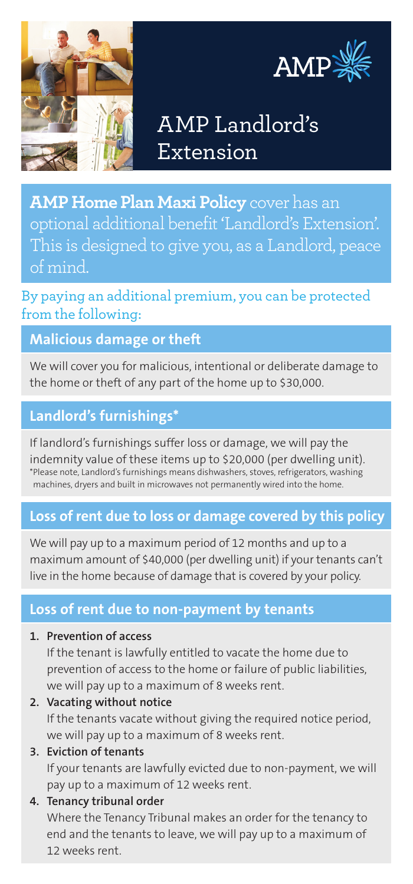



# AMP Landlord's Extension

**AMP Home Plan Maxi Policy** cover has an optional additional benefit 'Landlord's Extension'. This is designed to give you, as a Landlord, peace of mind.

By paying an additional premium, you can be protected from the following:

## **Malicious damage or theft**

We will cover you for malicious, intentional or deliberate damage to the home or theft of any part of the home up to \$30,000.

## **Landlord's furnishings\***

If landlord's furnishings suffer loss or damage, we will pay the

indemnity value of these items up to \$20,000 (per dwelling unit). \*Please note, Landlord's furnishings means dishwashers, stoves, refrigerators, washing machines, dryers and built in microwaves not permanently wired into the home.

# **Loss of rent due to loss or damage covered by this policy**

We will pay up to a maximum period of 12 months and up to a maximum amount of \$40,000 (per dwelling unit) if your tenants can't live in the home because of damage that is covered by your policy.

## **Loss of rent due to non-payment by tenants**

#### **1. Prevention of access**

If the tenant is lawfully entitled to vacate the home due to prevention of access to the home or failure of public liabilities, we will pay up to a maximum of 8 weeks rent.

#### **2. Vacating without notice**

If the tenants vacate without giving the required notice period, we will pay up to a maximum of 8 weeks rent.

#### **3. Eviction of tenants**

If your tenants are lawfully evicted due to non-payment, we will pay up to a maximum of 12 weeks rent.

#### **4. Tenancy tribunal order**

Where the Tenancy Tribunal makes an order for the tenancy to end and the tenants to leave, we will pay up to a maximum of 12 weeks rent.